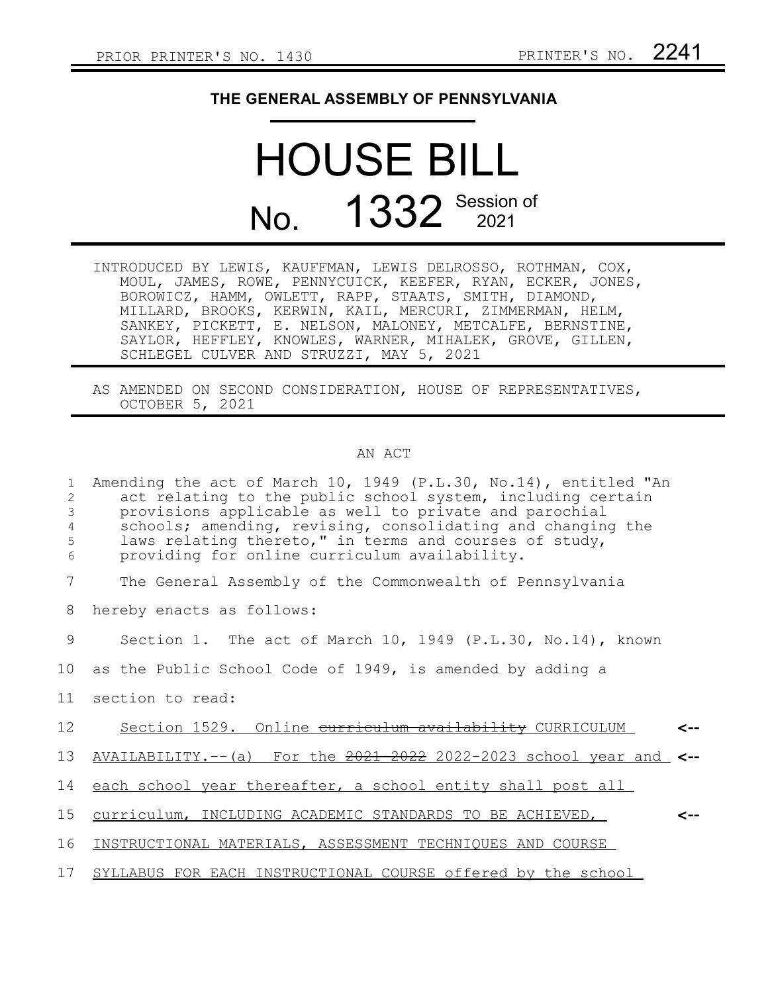## **THE GENERAL ASSEMBLY OF PENNSYLVANIA**

## HOUSE BILL No. 1332 Session of

| INTRODUCED BY LEWIS, KAUFFMAN, LEWIS DELROSSO, ROTHMAN, COX, |
|--------------------------------------------------------------|
| MOUL, JAMES, ROWE, PENNYCUICK, KEEFER, RYAN, ECKER, JONES,   |
| BOROWICZ, HAMM, OWLETT, RAPP, STAATS, SMITH, DIAMOND,        |
| MILLARD, BROOKS, KERWIN, KAIL, MERCURI, ZIMMERMAN, HELM,     |
| SANKEY, PICKETT, E. NELSON, MALONEY, METCALFE, BERNSTINE,    |
| SAYLOR, HEFFLEY, KNOWLES, WARNER, MIHALEK, GROVE, GILLEN,    |
| SCHLEGEL CULVER AND STRUZZI, MAY 5, 2021                     |

AS AMENDED ON SECOND CONSIDERATION, HOUSE OF REPRESENTATIVES, OCTOBER 5, 2021

## AN ACT

| 1<br>2<br>$\mathfrak{Z}$<br>4<br>5<br>6 | Amending the act of March 10, 1949 (P.L.30, No.14), entitled "An<br>act relating to the public school system, including certain<br>provisions applicable as well to private and parochial<br>schools; amending, revising, consolidating and changing the<br>laws relating thereto," in terms and courses of study,<br>providing for online curriculum availability. |
|-----------------------------------------|---------------------------------------------------------------------------------------------------------------------------------------------------------------------------------------------------------------------------------------------------------------------------------------------------------------------------------------------------------------------|
| 7                                       | The General Assembly of the Commonwealth of Pennsylvania                                                                                                                                                                                                                                                                                                            |
| 8                                       | hereby enacts as follows:                                                                                                                                                                                                                                                                                                                                           |
| 9                                       | Section 1. The act of March 10, 1949 (P.L.30, No.14), known                                                                                                                                                                                                                                                                                                         |
| 10                                      | as the Public School Code of 1949, is amended by adding a                                                                                                                                                                                                                                                                                                           |
| 11                                      | section to read:                                                                                                                                                                                                                                                                                                                                                    |
| 12 <sup>°</sup>                         | Section 1529. Online curriculum availability CURRICULUM                                                                                                                                                                                                                                                                                                             |
| 13                                      | AVAILABILITY.--(a) For the 2021-2022 2022-2023 school year and                                                                                                                                                                                                                                                                                                      |
| 14                                      | each school year thereafter, a school entity shall post all                                                                                                                                                                                                                                                                                                         |
| 15                                      | curriculum, INCLUDING ACADEMIC STANDARDS TO BE ACHIEVED,<br>~--                                                                                                                                                                                                                                                                                                     |
| 16                                      | INSTRUCTIONAL MATERIALS, ASSESSMENT TECHNIQUES AND COURSE                                                                                                                                                                                                                                                                                                           |
| 17                                      | SYLLABUS FOR EACH INSTRUCTIONAL COURSE offered by the school                                                                                                                                                                                                                                                                                                        |
|                                         |                                                                                                                                                                                                                                                                                                                                                                     |